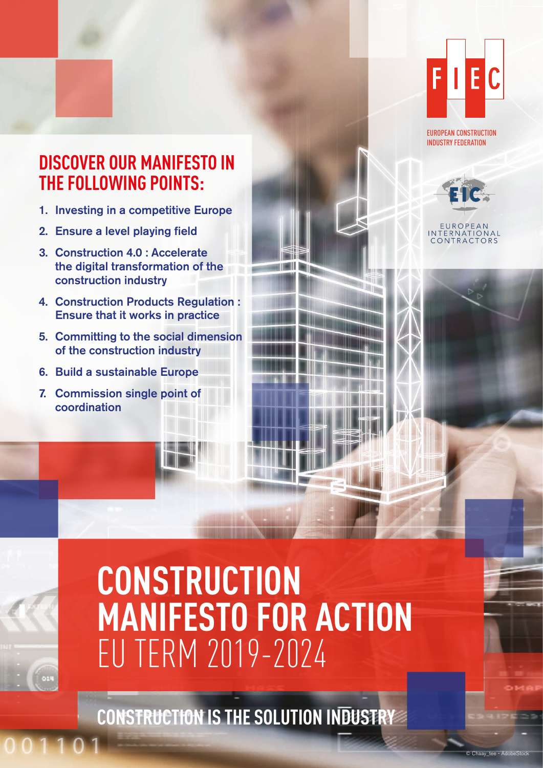

EUROPEAN CONSTRUCTION INDUSTRY FEDERATION

# **DISCOVER OUR MANIFESTO IN THE FOLLOWING POINTS:**

- 1. Investing in a competitive Europe
- 2. Ensure a level playing field
- 3. Construction 4.0 : Accelerate the digital transformation of the construction industry
- 4. Construction Products Regulation : Ensure that it works in practice
- 5. Committing to the social dimension of the construction industry
- 6. Build a sustainable Europe
- 7. Commission single point of coordination

**TERNATIONAL** ONTRACTORS

 $Cha$ ay $the$  - Ado

# **CONSTRUCTION MANIFESTO FOR ACTION** EU TERM 2019-2024

**CONSTRUCTION IS THE SOLUTION INDUSTRY**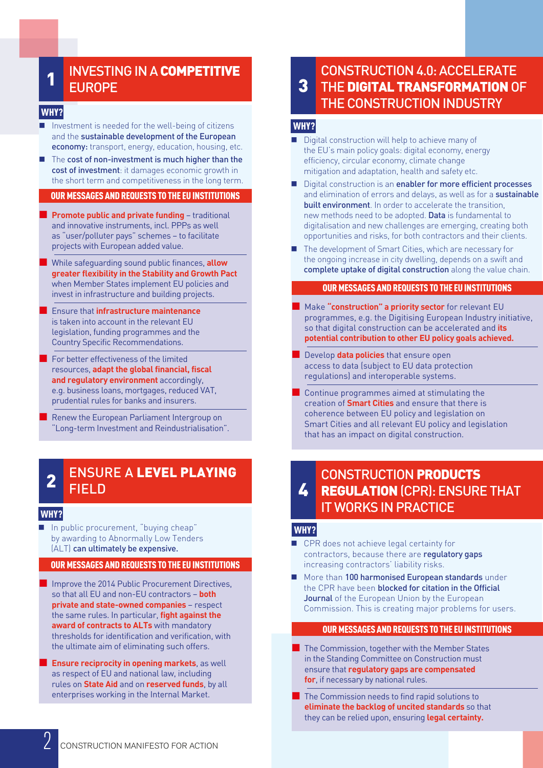#### INVESTING IN A COMPETITIVE EUROPE 1

#### WHY?

- $\blacksquare$  Investment is needed for the well-being of citizens and the sustainable development of the European economy: transport, energy, education, housing, etc.
- The cost of non-investment is much higher than the cost of investment: it damages economic growth in the short term and competitiveness in the long term.

#### OUR MESSAGES AND REQUESTS TO THE EU INSTITUTIONS

- **Promote public and private funding traditional** and innovative instruments, incl. PPPs as well as "user/polluter pays" schemes – to facilitate projects with European added value.
- While safeguarding sound public finances, **allow greater flexibility in the Stability and Growth Pact**  when Member States implement EU policies and invest in infrastructure and building projects.
- **Ensure that infrastructure maintenance** is taken into account in the relevant EU legislation, funding programmes and the Country Specific Recommendations.
- For better effectiveness of the limited resources, **adapt the global financial, fiscal and regulatory environment** accordingly, e.g. business loans, mortgages, reduced VAT, prudential rules for banks and insurers.
- Renew the European Parliament Intergroup on "Long-term Investment and Reindustrialisation".

#### ENSURE A LEVEL PLAYING FIELD 2

#### WHY?

 In public procurement, "buying cheap" by awarding to Abnormally Low Tenders (ALT) can ultimately be expensive.

#### OUR MESSAGES AND REQUESTS TO THE EU INSTITUTIONS

- Improve the 2014 Public Procurement Directives, so that all EU and non-EU contractors – **both private and state-owned companies** – respect the same rules. In particular, **fight against the award of contracts to ALTs** with mandatory thresholds for identification and verification, with the ultimate aim of eliminating such offers.
- **Ensure reciprocity in opening markets**, as well as respect of EU and national law, including rules on **State Aid** and on **reserved funds**, by all enterprises working in the Internal Market.

#### CONSTRUCTION 4.0: ACCELERATE THE DIGITAL TRANSFORMATION OF THE CONSTRUCTION INDUSTRY 3

#### WHY?

- Digital construction will help to achieve many of the EU's main policy goals: digital economy, energy efficiency, circular economy, climate change mitigation and adaptation, health and safety etc.
- Digital construction is an enabler for more efficient processes and elimination of errors and delays, as well as for a sustainable built environment. In order to accelerate the transition, new methods need to be adopted. Data is fundamental to digitalisation and new challenges are emerging, creating both opportunities and risks, for both contractors and their clients.
- The development of Smart Cities, which are necessary for the ongoing increase in city dwelling, depends on a swift and complete uptake of digital construction along the value chain.

#### OUR MESSAGES AND REQUESTS TO THE EU INSTITUTIONS

- **Make "construction" a priority sector** for relevant EU programmes, e.g. the Digitising European Industry initiative, so that digital construction can be accelerated and **its potential contribution to other EU policy goals achieved.**
- **Develop data policies** that ensure open access to data (subject to EU data protection regulations) and interoperable systems.
- Continue programmes aimed at stimulating the creation of **Smart Cities** and ensure that there is coherence between EU policy and legislation on Smart Cities and all relevant EU policy and legislation that has an impact on digital construction.

#### CONSTRUCTION PRODUCTS **REGULATION (CPR): ENSURE THAT** IT WORKS IN PRACTICE 4

#### WHY?

- CPR does not achieve legal certainty for contractors, because there are regulatory gaps increasing contractors' liability risks.
- More than 100 harmonised European standards under the CPR have been **blocked for citation in the Official** Journal of the European Union by the European Commission. This is creating major problems for users.

#### OUR MESSAGES AND REQUESTS TO THE EU INSTITUTIONS

- **The Commission, together with the Member States** in the Standing Committee on Construction must ensure that **regulatory gaps are compensated for**, if necessary by national rules.
- The Commission needs to find rapid solutions to **eliminate the backlog of uncited standards** so that they can be relied upon, ensuring **legal certainty.**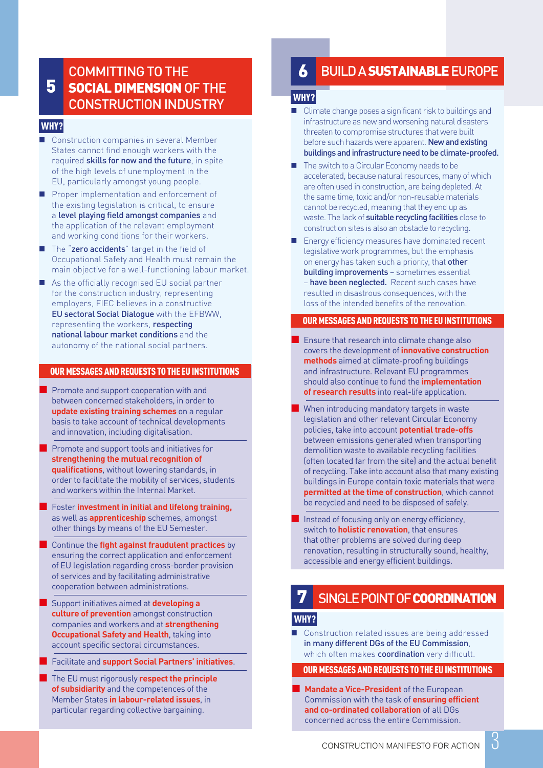### SOCIAL DIMENSION OF THE CONSTRUCTION INDUSTRY 5

#### WHY?

- Construction companies in several Member States cannot find enough workers with the required skills for now and the future, in spite of the high levels of unemployment in the EU, particularly amongst young people.
- Proper implementation and enforcement of the existing legislation is critical, to ensure a level playing field amongst companies and the application of the relevant employment and working conditions for their workers.
- The "zero accidents" target in the field of Occupational Safety and Health must remain the main objective for a well-functioning labour market.
- As the officially recognised EU social partner for the construction industry, representing employers, FIEC believes in a constructive EU sectoral Social Dialogue with the EFBWW, representing the workers, respecting national labour market conditions and the autonomy of the national social partners.

#### OUR MESSAGES AND REQUESTS TO THE EU INSTITUTIONS

- Promote and support cooperation with and between concerned stakeholders, in order to **update existing training schemes** on a regular basis to take account of technical developments and innovation, including digitalisation.
- Promote and support tools and initiatives for **strengthening the mutual recognition of qualifications**, without lowering standards, in order to facilitate the mobility of services, students and workers within the Internal Market.
- Foster **investment in initial and lifelong training,**  as well as **apprenticeship** schemes, amongst other things by means of the EU Semester.
- **Continue the fight against fraudulent practices** by ensuring the correct application and enforcement of EU legislation regarding cross-border provision of services and by facilitating administrative cooperation between administrations.
- Support initiatives aimed at **developing a culture of prevention** amongst construction companies and workers and at **strengthening Occupational Safety and Health**, taking into account specific sectoral circumstances.
- **Facilitate and support Social Partners' initiatives.**
- The EU must rigorously **respect the principle of subsidiarity** and the competences of the Member States **in labour-related issues**, in particular regarding collective bargaining.

#### COMMITTING TO THE **BUILD A SUSTAINABLE** EUROPE 6

#### WHY?

- Climate change poses a significant risk to buildings and infrastructure as new and worsening natural disasters threaten to compromise structures that were built before such hazards were apparent. New and existing buildings and infrastructure need to be climate-proofed.
- The switch to a Circular Economy needs to be accelerated, because natural resources, many of which are often used in construction, are being depleted. At the same time, toxic and/or non-reusable materials cannot be recycled, meaning that they end up as waste. The lack of **suitable recycling facilities** close to construction sites is also an obstacle to recycling.
- Energy efficiency measures have dominated recent legislative work programmes, but the emphasis on energy has taken such a priority, that other building improvements – sometimes essential – have been neglected. Recent such cases have resulted in disastrous consequences, with the loss of the intended benefits of the renovation.

#### OUR MESSAGES AND REQUESTS TO THE EU INSTITUTIONS

- **E** Ensure that research into climate change also covers the development of **innovative construction methods** aimed at climate-proofing buildings and infrastructure. Relevant EU programmes should also continue to fund the **implementation of research results** into real-life application.
- When introducing mandatory targets in waste legislation and other relevant Circular Economy policies, take into account **potential trade-offs**  between emissions generated when transporting demolition waste to available recycling facilities (often located far from the site) and the actual benefit of recycling. Take into account also that many existing buildings in Europe contain toxic materials that were **permitted at the time of construction**, which cannot be recycled and need to be disposed of safely.
- Instead of focusing only on energy efficiency, switch to **holistic renovation**, that ensures that other problems are solved during deep renovation, resulting in structurally sound, healthy, accessible and energy efficient buildings.

## **SINGLE POINT OF COORDINATION**

#### WHY?

■ Construction related issues are being addressed in many different DGs of the EU Commission, which often makes **coordination** very difficult.

#### OUR MESSAGES AND REQUESTS TO THE EU INSTITUTIONS

**Mandate a Vice-President** of the European Commission with the task of **ensuring efficient and co-ordinated collaboration** of all DGs concerned across the entire Commission.